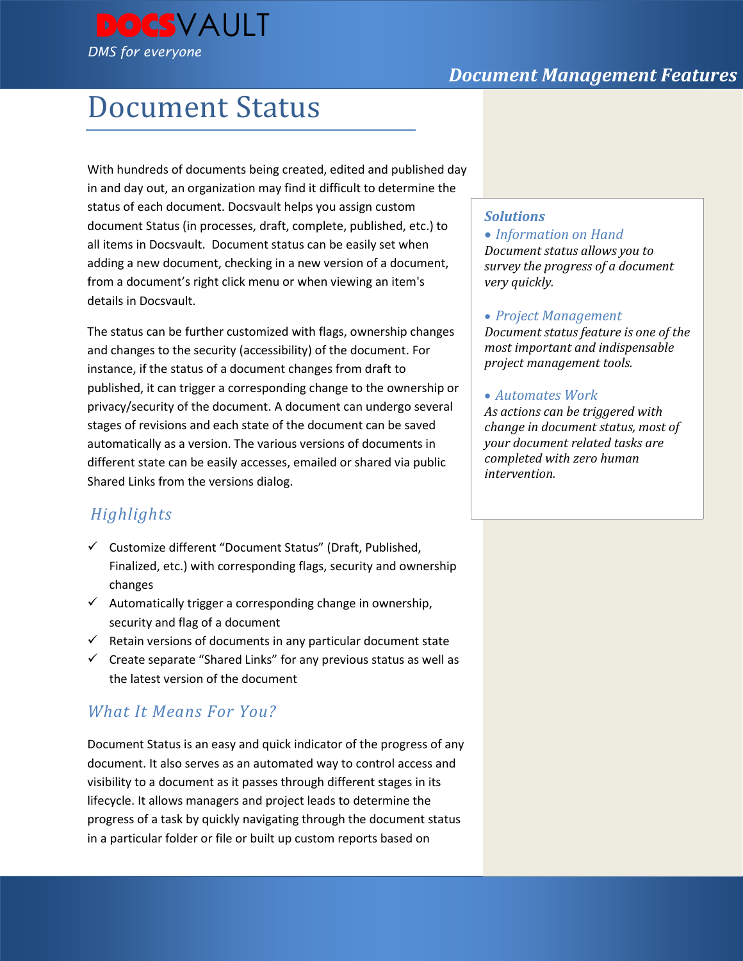



# Document Status

With hundreds of documents being created, edited and published day in and day out, an organization may find it difficult to determine the status of each document. Docsvault helps you assign custom document Status (in processes, draft, complete, published, etc.) to all items in Docsvault. Document status can be easily set when adding a new document, checking in a new version of a document, from a document's right click menu or when viewing an item's details in Docsvault.

The status can be further customized with flags, ownership changes and changes to the security (accessibility) of the document. For instance, if the status of a document changes from draft to published, it can trigger a corresponding change to the ownership or privacy/security of the document. A document can undergo several stages of revisions and each state of the document can be saved automatically as a version. The various versions of documents in different state can be easily accesses, emailed or shared via public Shared Links from the versions dialog.

# *Highlights*

- Customize different "Document Status" (Draft, Published, Finalized, etc.) with corresponding flags, security and ownership changes
- $\checkmark$  Automatically trigger a corresponding change in ownership, security and flag of a document
- $\checkmark$  Retain versions of documents in any particular document state
- $\checkmark$  Create separate "Shared Links" for any previous status as well as the latest version of the document

# *What It Means For You?*

Document Status is an easy and quick indicator of the progress of any document. It also serves as an automated way to control access and visibility to a document as it passes through different stages in its lifecycle. It allows managers and project leads to determine the progress of a task by quickly navigating through the document status in a particular folder or file or built up custom reports based on

### *Solutions*

 *Information on Hand Document status allows you to survey the progress of a document very quickly.* 

#### *Project Management*

*Document status feature is one of the most important and indispensable project management tools.* 

#### *Automates Work*

*As actions can be triggered with change in document status, most of your document related tasks are completed with zero human intervention.*